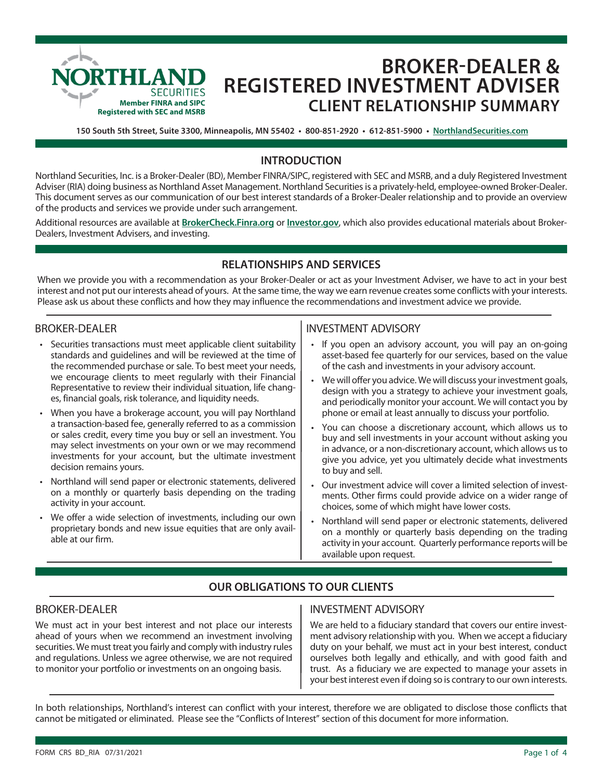

# **BROKER-DEALER & REGISTERED INVESTMENT ADVISER CLIENT RELATIONSHIP SUMMARY**

**150 South 5th Street, Suite 3300, Minneapolis, MN 55402 • 800-851-2920 • 612-851-5900 • NorthlandSecurities.com**

## **INTRODUCTION**

Northland Securities, Inc. is a Broker-Dealer (BD), Member FINRA/SIPC, registered with SEC and MSRB, and a duly Registered Investment Adviser (RIA) doing business as Northland Asset Management. Northland Securities is a privately-held, employee-owned Broker-Dealer. This document serves as our communication of our best interest standards of a Broker-Dealer relationship and to provide an overview of the products and services we provide under such arrangement.

Additional resources are available at **BrokerCheck.Finra.org** or **Investor.gov**, which also provides educational materials about Broker-Dealers, Investment Advisers, and investing.

## **RELATIONSHIPS AND SERVICES**

When we provide you with a recommendation as your Broker-Dealer or act as your Investment Adviser, we have to act in your best interest and not put our interests ahead of yours. At the same time, the way we earn revenue creates some conflicts with your interests. Please ask us about these conflicts and how they may influence the recommendations and investment advice we provide.

#### BROKER-DEALER

- Securities transactions must meet applicable client suitability standards and guidelines and will be reviewed at the time of the recommended purchase or sale. To best meet your needs, we encourage clients to meet regularly with their Financial Representative to review their individual situation, life changes, financial goals, risk tolerance, and liquidity needs.
- When you have a brokerage account, you will pay Northland a transaction-based fee, generally referred to as a commission or sales credit, every time you buy or sell an investment. You may select investments on your own or we may recommend investments for your account, but the ultimate investment decision remains yours.
- Northland will send paper or electronic statements, delivered on a monthly or quarterly basis depending on the trading activity in your account.
- We offer a wide selection of investments, including our own proprietary bonds and new issue equities that are only available at our firm.

## INVESTMENT ADVISORY

- If you open an advisory account, you will pay an on-going asset-based fee quarterly for our services, based on the value of the cash and investments in your advisory account.
- We will offer you advice. We will discuss your investment goals, design with you a strategy to achieve your investment goals, and periodically monitor your account. We will contact you by phone or email at least annually to discuss your portfolio.
- You can choose a discretionary account, which allows us to buy and sell investments in your account without asking you in advance, or a non-discretionary account, which allows us to give you advice, yet you ultimately decide what investments to buy and sell.
- Our investment advice will cover a limited selection of investments. Other firms could provide advice on a wider range of choices, some of which might have lower costs.
- Northland will send paper or electronic statements, delivered on a monthly or quarterly basis depending on the trading activity in your account. Quarterly performance reports will be available upon request.

## **OUR OBLIGATIONS TO OUR CLIENTS**

## BROKER-DEALER

We must act in your best interest and not place our interests ahead of yours when we recommend an investment involving securities. We must treat you fairly and comply with industry rules and regulations. Unless we agree otherwise, we are not required to monitor your portfolio or investments on an ongoing basis.

## INVESTMENT ADVISORY

We are held to a fiduciary standard that covers our entire investment advisory relationship with you. When we accept a fiduciary duty on your behalf, we must act in your best interest, conduct ourselves both legally and ethically, and with good faith and trust. As a fiduciary we are expected to manage your assets in your best interest even if doing so is contrary to our own interests.

In both relationships, Northland's interest can conflict with your interest, therefore we are obligated to disclose those conflicts that cannot be mitigated or eliminated. Please see the "Conflicts of Interest" section of this document for more information.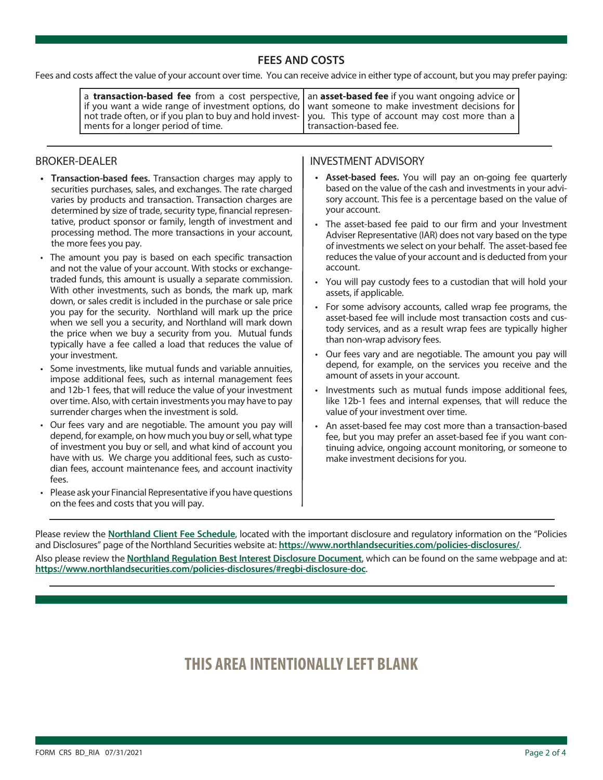## **FEES AND COSTS**

Fees and costs affect the value of your account over time. You can receive advice in either type of account, but you may prefer paying:

| a transaction-based fee from a cost perspective,   an asset-based fee if you want ongoing advice or  <br>if you want a wide range of investment options, do   want someone to make investment decisions for<br>not trade often, or if you plan to buy and hold invest-   you. This type of account may cost more than a |                          |
|-------------------------------------------------------------------------------------------------------------------------------------------------------------------------------------------------------------------------------------------------------------------------------------------------------------------------|--------------------------|
| ments for a longer period of time.                                                                                                                                                                                                                                                                                      | I transaction-based fee. |

#### BROKER-DEALER

- **• Transaction-based fees.** Transaction charges may apply to securities purchases, sales, and exchanges. The rate charged varies by products and transaction. Transaction charges are determined by size of trade, security type, financial representative, product sponsor or family, length of investment and processing method. The more transactions in your account, the more fees you pay.
- The amount you pay is based on each specific transaction and not the value of your account. With stocks or exchangetraded funds, this amount is usually a separate commission. With other investments, such as bonds, the mark up, mark down, or sales credit is included in the purchase or sale price you pay for the security. Northland will mark up the price when we sell you a security, and Northland will mark down the price when we buy a security from you. Mutual funds typically have a fee called a load that reduces the value of your investment.
- Some investments, like mutual funds and variable annuities, impose additional fees, such as internal management fees and 12b-1 fees, that will reduce the value of your investment over time. Also, with certain investments you may have to pay surrender charges when the investment is sold.
- Our fees vary and are negotiable. The amount you pay will depend, for example, on how much you buy or sell, what type of investment you buy or sell, and what kind of account you have with us. We charge you additional fees, such as custodian fees, account maintenance fees, and account inactivity fees.
- Please ask your Financial Representative if you have questions on the fees and costs that you will pay.

### INVESTMENT ADVISORY

- **• Asset-based fees.** You will pay an on-going fee quarterly based on the value of the cash and investments in your advisory account. This fee is a percentage based on the value of your account.
- The asset-based fee paid to our firm and your Investment Adviser Representative (IAR) does not vary based on the type of investments we select on your behalf. The asset-based fee reduces the value of your account and is deducted from your account.
- You will pay custody fees to a custodian that will hold your assets, if applicable.
- For some advisory accounts, called wrap fee programs, the asset-based fee will include most transaction costs and custody services, and as a result wrap fees are typically higher than non-wrap advisory fees.
- Our fees vary and are negotiable. The amount you pay will depend, for example, on the services you receive and the amount of assets in your account.
- Investments such as mutual funds impose additional fees, like 12b-1 fees and internal expenses, that will reduce the value of your investment over time.
- An asset-based fee may cost more than a transaction-based fee, but you may prefer an asset-based fee if you want continuing advice, ongoing account monitoring, or someone to make investment decisions for you.

Please review the **Northland Client Fee Schedule**, located with the important disclosure and regulatory information on the "Policies and Disclosures" page of the Northland Securities website at: **https://www.northlandsecurities.com/policies-disclosures/**.

Also please review the **Northland Regulation Best Interest Disclosure Document**, which can be found on the same webpage and at: **https://www.northlandsecurities.com/policies-disclosures/#regbi-disclosure-doc**.

## **THIS AREA INTENTIONALLY LEFT BLANK**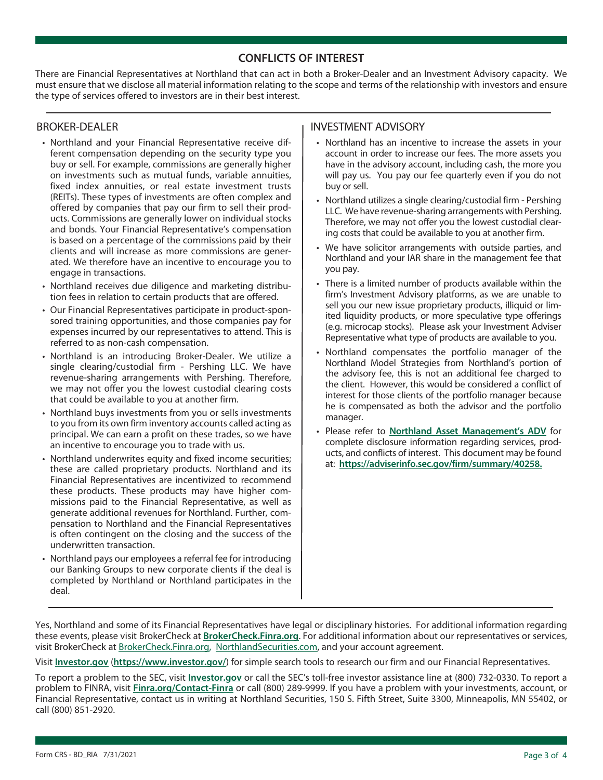### **CONFLICTS OF INTEREST**

There are Financial Representatives at Northland that can act in both a Broker-Dealer and an Investment Advisory capacity. We must ensure that we disclose all material information relating to the scope and terms of the relationship with investors and ensure the type of services offered to investors are in their best interest.

#### BROKER-DEALER

- Northland and your Financial Representative receive different compensation depending on the security type you buy or sell. For example, commissions are generally higher on investments such as mutual funds, variable annuities, fixed index annuities, or real estate investment trusts (REITs). These types of investments are often complex and offered by companies that pay our firm to sell their products. Commissions are generally lower on individual stocks and bonds. Your Financial Representative's compensation is based on a percentage of the commissions paid by their clients and will increase as more commissions are generated. We therefore have an incentive to encourage you to engage in transactions.
- Northland receives due diligence and marketing distribution fees in relation to certain products that are offered.
- Our Financial Representatives participate in product-sponsored training opportunities, and those companies pay for expenses incurred by our representatives to attend. This is referred to as non-cash compensation.
- Northland is an introducing Broker-Dealer. We utilize a single clearing/custodial firm - Pershing LLC. We have revenue-sharing arrangements with Pershing. Therefore, we may not offer you the lowest custodial clearing costs that could be available to you at another firm.
- Northland buys investments from you or sells investments to you from its own firm inventory accounts called acting as principal. We can earn a profit on these trades, so we have an incentive to encourage you to trade with us.
- Northland underwrites equity and fixed income securities; these are called proprietary products. Northland and its Financial Representatives are incentivized to recommend these products. These products may have higher commissions paid to the Financial Representative, as well as generate additional revenues for Northland. Further, compensation to Northland and the Financial Representatives is often contingent on the closing and the success of the underwritten transaction.
- Northland pays our employees a referral fee for introducing our Banking Groups to new corporate clients if the deal is completed by Northland or Northland participates in the deal.

#### INVESTMENT ADVISORY

- Northland has an incentive to increase the assets in your account in order to increase our fees. The more assets you have in the advisory account, including cash, the more you will pay us. You pay our fee quarterly even if you do not buy or sell.
- Northland utilizes a single clearing/custodial firm Pershing LLC. We have revenue-sharing arrangements with Pershing. Therefore, we may not offer you the lowest custodial clearing costs that could be available to you at another firm.
- We have solicitor arrangements with outside parties, and Northland and your IAR share in the management fee that you pay.
- There is a limited number of products available within the firm's Investment Advisory platforms, as we are unable to sell you our new issue proprietary products, illiquid or limited liquidity products, or more speculative type offerings (e.g. microcap stocks). Please ask your Investment Adviser Representative what type of products are available to you.
- Northland compensates the portfolio manager of the Northland Model Strategies from Northland's portion of the advisory fee, this is not an additional fee charged to the client. However, this would be considered a conflict of interest for those clients of the portfolio manager because he is compensated as both the advisor and the portfolio manager.
- Please refer to **Northland Asset Management's ADV** for complete disclosure information regarding services, products, and conflicts of interest. This document may be found at: **https://adviserinfo.sec.gov/firm/summary/40258.**

Yes, Northland and some of its Financial Representatives have legal or disciplinary histories. For additional information regarding these events, please visit BrokerCheck at **BrokerCheck.Finra.org**. For additional information about our representatives or services, visit BrokerCheck at BrokerCheck.Finra.org, NorthlandSecurities.com, and your account agreement.

Visit **Investor.gov** (**https://www.investor.gov/**) for simple search tools to research our firm and our Financial Representatives.

To report a problem to the SEC, visit **Investor.gov** or call the SEC's toll-free investor assistance line at (800) 732-0330. To report a problem to FINRA, visit **Finra.org/Contact-Finra** or call (800) 289-9999. If you have a problem with your investments, account, or Financial Representative, contact us in writing at Northland Securities, 150 S. Fifth Street, Suite 3300, Minneapolis, MN 55402, or call (800) 851-2920.